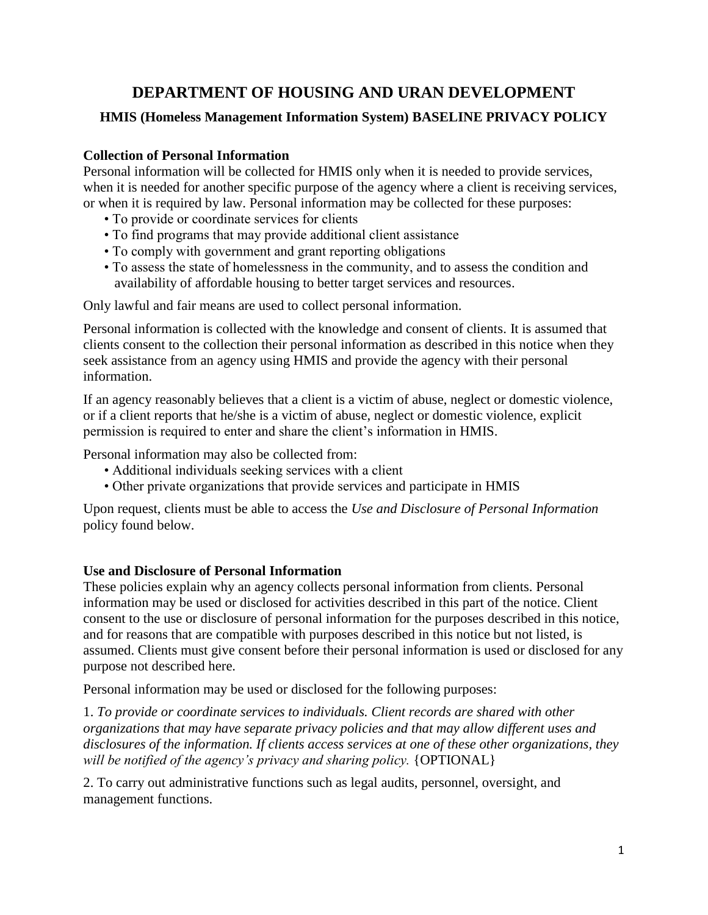# **DEPARTMENT OF HOUSING AND URAN DEVELOPMENT HMIS (Homeless Management Information System) BASELINE PRIVACY POLICY**

## **Collection of Personal Information**

Personal information will be collected for HMIS only when it is needed to provide services, when it is needed for another specific purpose of the agency where a client is receiving services, or when it is required by law. Personal information may be collected for these purposes:

- To provide or coordinate services for clients
- To find programs that may provide additional client assistance
- To comply with government and grant reporting obligations
- To assess the state of homelessness in the community, and to assess the condition and availability of affordable housing to better target services and resources.

Only lawful and fair means are used to collect personal information.

Personal information is collected with the knowledge and consent of clients. It is assumed that clients consent to the collection their personal information as described in this notice when they seek assistance from an agency using HMIS and provide the agency with their personal information.

If an agency reasonably believes that a client is a victim of abuse, neglect or domestic violence, or if a client reports that he/she is a victim of abuse, neglect or domestic violence, explicit permission is required to enter and share the client's information in HMIS.

Personal information may also be collected from:

- Additional individuals seeking services with a client
- Other private organizations that provide services and participate in HMIS

Upon request, clients must be able to access the *Use and Disclosure of Personal Information*  policy found below.

## **Use and Disclosure of Personal Information**

These policies explain why an agency collects personal information from clients. Personal information may be used or disclosed for activities described in this part of the notice. Client consent to the use or disclosure of personal information for the purposes described in this notice, and for reasons that are compatible with purposes described in this notice but not listed, is assumed. Clients must give consent before their personal information is used or disclosed for any purpose not described here.

Personal information may be used or disclosed for the following purposes:

1. *To provide or coordinate services to individuals. Client records are shared with other organizations that may have separate privacy policies and that may allow different uses and disclosures of the information. If clients access services at one of these other organizations, they will be notified of the agency's privacy and sharing policy.* {OPTIONAL}

2. To carry out administrative functions such as legal audits, personnel, oversight, and management functions.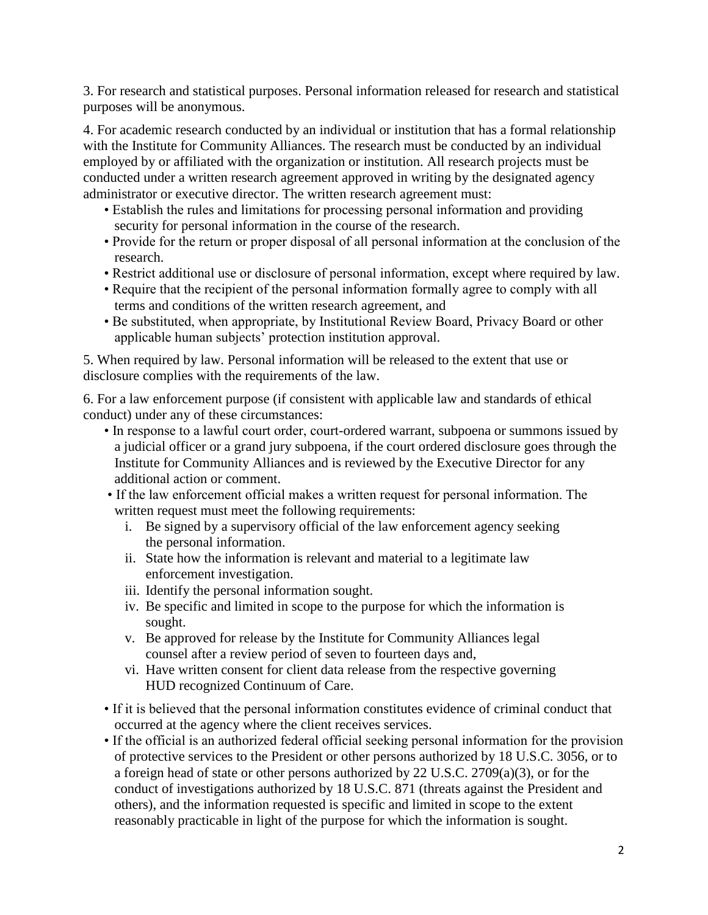3. For research and statistical purposes. Personal information released for research and statistical purposes will be anonymous.

4. For academic research conducted by an individual or institution that has a formal relationship with the Institute for Community Alliances. The research must be conducted by an individual employed by or affiliated with the organization or institution. All research projects must be conducted under a written research agreement approved in writing by the designated agency administrator or executive director. The written research agreement must:

- Establish the rules and limitations for processing personal information and providing security for personal information in the course of the research.
- Provide for the return or proper disposal of all personal information at the conclusion of the research.
- Restrict additional use or disclosure of personal information, except where required by law.
- Require that the recipient of the personal information formally agree to comply with all terms and conditions of the written research agreement, and
- Be substituted, when appropriate, by Institutional Review Board, Privacy Board or other applicable human subjects' protection institution approval.

5. When required by law. Personal information will be released to the extent that use or disclosure complies with the requirements of the law.

6. For a law enforcement purpose (if consistent with applicable law and standards of ethical conduct) under any of these circumstances:

- In response to a lawful court order, court-ordered warrant, subpoena or summons issued by a judicial officer or a grand jury subpoena, if the court ordered disclosure goes through the Institute for Community Alliances and is reviewed by the Executive Director for any additional action or comment.
- If the law enforcement official makes a written request for personal information. The written request must meet the following requirements:
	- i. Be signed by a supervisory official of the law enforcement agency seeking the personal information.
	- ii. State how the information is relevant and material to a legitimate law enforcement investigation.
	- iii. Identify the personal information sought.
	- iv. Be specific and limited in scope to the purpose for which the information is sought.
	- v. Be approved for release by the Institute for Community Alliances legal counsel after a review period of seven to fourteen days and,
	- vi. Have written consent for client data release from the respective governing HUD recognized Continuum of Care.
- If it is believed that the personal information constitutes evidence of criminal conduct that occurred at the agency where the client receives services.
- If the official is an authorized federal official seeking personal information for the provision of protective services to the President or other persons authorized by 18 U.S.C. 3056, or to a foreign head of state or other persons authorized by 22 U.S.C. 2709(a)(3), or for the conduct of investigations authorized by 18 U.S.C. 871 (threats against the President and others), and the information requested is specific and limited in scope to the extent reasonably practicable in light of the purpose for which the information is sought.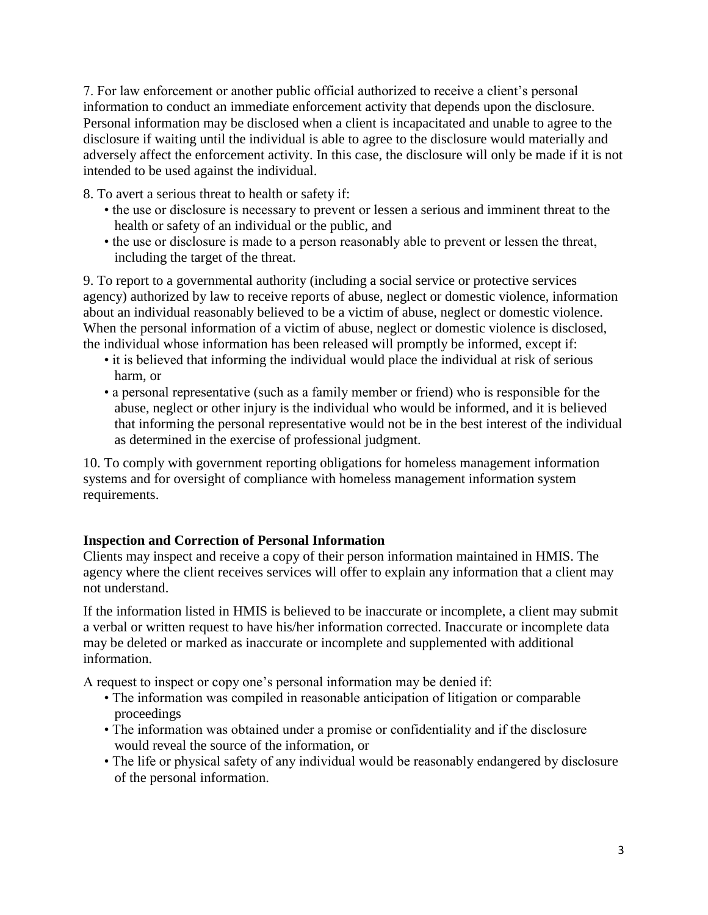7. For law enforcement or another public official authorized to receive a client's personal information to conduct an immediate enforcement activity that depends upon the disclosure. Personal information may be disclosed when a client is incapacitated and unable to agree to the disclosure if waiting until the individual is able to agree to the disclosure would materially and adversely affect the enforcement activity. In this case, the disclosure will only be made if it is not intended to be used against the individual.

8. To avert a serious threat to health or safety if:

- the use or disclosure is necessary to prevent or lessen a serious and imminent threat to the health or safety of an individual or the public, and
- the use or disclosure is made to a person reasonably able to prevent or lessen the threat, including the target of the threat.

9. To report to a governmental authority (including a social service or protective services agency) authorized by law to receive reports of abuse, neglect or domestic violence, information about an individual reasonably believed to be a victim of abuse, neglect or domestic violence. When the personal information of a victim of abuse, neglect or domestic violence is disclosed, the individual whose information has been released will promptly be informed, except if:

- it is believed that informing the individual would place the individual at risk of serious harm, or
- a personal representative (such as a family member or friend) who is responsible for the abuse, neglect or other injury is the individual who would be informed, and it is believed that informing the personal representative would not be in the best interest of the individual as determined in the exercise of professional judgment.

10. To comply with government reporting obligations for homeless management information systems and for oversight of compliance with homeless management information system requirements.

### **Inspection and Correction of Personal Information**

Clients may inspect and receive a copy of their person information maintained in HMIS. The agency where the client receives services will offer to explain any information that a client may not understand.

If the information listed in HMIS is believed to be inaccurate or incomplete, a client may submit a verbal or written request to have his/her information corrected. Inaccurate or incomplete data may be deleted or marked as inaccurate or incomplete and supplemented with additional information.

A request to inspect or copy one's personal information may be denied if:

- The information was compiled in reasonable anticipation of litigation or comparable proceedings
- The information was obtained under a promise or confidentiality and if the disclosure would reveal the source of the information, or
- The life or physical safety of any individual would be reasonably endangered by disclosure of the personal information.